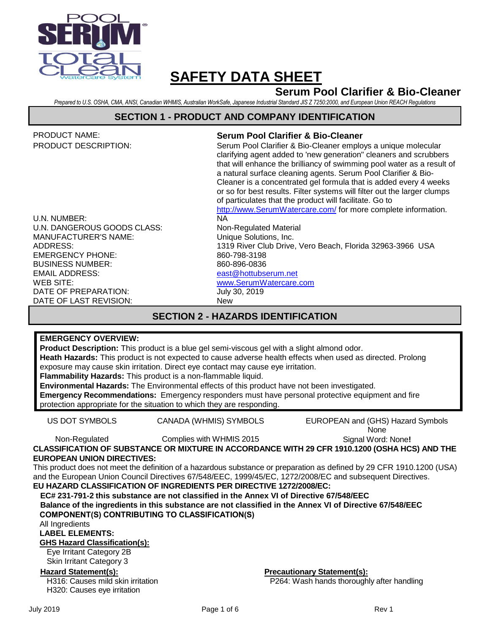

**Serum Pool Clarifier & Bio-Cleaner**

pool water as a result of

*Prepared to U.S. OSHA, CMA, ANSI, Canadian WHMIS, Australian WorkSafe, Japanese Industrial Standard JIS Z 7250:2000, and European Union REACH Regulations*

#### **SECTION 1 - PRODUCT AND COMPANY IDENTIFICATION**

| <b>PRODUCT DESCRIPTION:</b> | Serum Pool Clarifier & Bio-Cleaner employs a unique molecular            |
|-----------------------------|--------------------------------------------------------------------------|
|                             | clarifying agent added to 'new generation" cleaners and scrubbers        |
|                             | that will enhance the brilliancy of swimming pool water as a result of   |
|                             | a natural surface cleaning agents. Serum Pool Clarifier & Bio-           |
|                             | Cleaner is a concentrated gel formula that is added every 4 weeks        |
|                             | or so for best results. Filter systems will filter out the larger clumps |
|                             | of particulates that the product will facilitate. Go to                  |
|                             | http://www.SerumWatercare.com/ for more complete information.            |
| U.N. NUMBER:                | NA.                                                                      |
| U.N. DANGEROUS GOODS CLASS: | Non-Regulated Material                                                   |
| <b>MANUFACTURER'S NAME:</b> | Unique Solutions, Inc.                                                   |
| ADDRESS:                    | 1319 River Club Drive, Vero Beach, Florida 32963-3966 USA                |
| <b>EMERGENCY PHONE:</b>     | 860-798-3198                                                             |
| <b>BUSINESS NUMBER:</b>     | 860-896-0836                                                             |
| <b>EMAIL ADDRESS:</b>       | east@hottubserum.net                                                     |
| WEB SITE:                   | www.SerumWatercare.com                                                   |
| DATE OF PREPARATION:        | July 30, 2019                                                            |

PRODUCT NAME: **Serum Pool Clarifier & Bio-Cleaner**

DATE OF LAST REVISION: New

#### **SECTION 2 - HAZARDS IDENTIFICATION**

#### **EMERGENCY OVERVIEW:**

**Product Description:** This product is a blue gel semi-viscous gel with a slight almond odor. **Heath Hazards:** This product is not expected to cause adverse health effects when used as directed. Prolong exposure may cause skin irritation. Direct eye contact may cause eye irritation.

**Flammability Hazards:** This product is a non-flammable liquid.

**Environmental Hazards:** The Environmental effects of this product have not been investigated.

**Emergency Recommendations:** Emergency responders must have personal protective equipment and fire protection appropriate for the situation to which they are responding.

US DOT SYMBOLS CANADA (WHMIS) SYMBOLS EUROPEAN and (GHS) Hazard Symbols

Non-Regulated Complies with WHMIS 2015 Signal Word: None**! CLASSIFICATION OF SUBSTANCE OR MIXTURE IN ACCORDANCE WITH 29 CFR 1910.1200 (OSHA HCS) AND THE EUROPEAN UNION DIRECTIVES:**

This product does not meet the definition of a hazardous substance or preparation as defined by 29 CFR 1910.1200 (USA) and the European Union Council Directives 67/548/EEC, 1999/45/EC, 1272/2008/EC and subsequent Directives. **EU HAZARD CLASSIFICATION OF INGREDIENTS PER DIRECTIVE 1272/2008/EC:**

**EC# 231-791-2 this substance are not classified in the Annex VI of Directive 67/548/EEC**

**Balance of the ingredients in this substance are not classified in the Annex VI of Directive 67/548/EEC COMPONENT(S) CONTRIBUTING TO CLASSIFICATION(S)**

All Ingredients

#### **LABEL ELEMENTS:**

#### **GHS Hazard Classification(s):**

Eye Irritant Category 2B Skin Irritant Category 3

H316: Causes mild skin irritation H320: Causes eye irritation

#### **Hazard Statement(s): Precautionary Statement(s):**

P264: Wash hands thoroughly after handling

None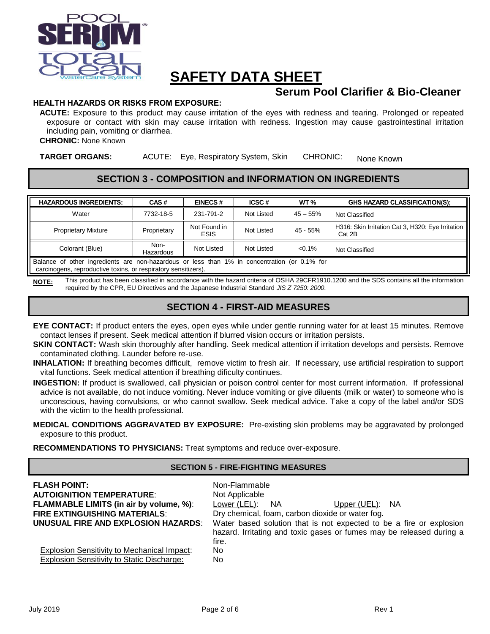

# **Serum Pool Clarifier & Bio-Cleaner**

#### **HEALTH HAZARDS OR RISKS FROM EXPOSURE:**

**ACUTE:** Exposure to this product may cause irritation of the eyes with redness and tearing. Prolonged or repeated exposure or contact with skin may cause irritation with redness. Ingestion may cause gastrointestinal irritation including pain, vomiting or diarrhea.

**CHRONIC:** None Known

**TARGET ORGANS:** ACUTE: Eye, Respiratory System, Skin CHRONIC: None Known

#### **SECTION 3 - COMPOSITION and INFORMATION ON INGREDIENTS**

| <b>HAZARDOUS INGREDIENTS:</b>                                                                                                                                  | CAS#              | <b>EINECS#</b>              | ICSC#      | WT <sub>%</sub> | <b>GHS HAZARD CLASSIFICATION(S);</b>                        |
|----------------------------------------------------------------------------------------------------------------------------------------------------------------|-------------------|-----------------------------|------------|-----------------|-------------------------------------------------------------|
| Water                                                                                                                                                          | 7732-18-5         | 231-791-2                   | Not Listed | $45 - 55%$      | Not Classified                                              |
| <b>Proprietary Mixture</b>                                                                                                                                     | Proprietary       | Not Found in<br><b>ESIS</b> | Not Listed | $45 - 55%$      | H316: Skin Irritation Cat 3, H320: Eye Irritation<br>Cat 2B |
| Colorant (Blue)                                                                                                                                                | Non-<br>Hazardous | Not Listed                  | Not Listed | $< 0.1\%$       | Not Classified                                              |
| Balance of other ingredients are non-hazardous or less than 1% in concentration (or 0.1% for<br>carcinogens, reproductive toxins, or respiratory sensitizers). |                   |                             |            |                 |                                                             |

NOTE: This product has been classified in accordance with the hazard criteria of OSHA 29CFR1910.1200 and the SDS contains all the information required by the CPR, EU Directives and the Japanese Industrial Standard *JIS Z 7250: 2000*.

### **SECTION 4 - FIRST-AID MEASURES**

- **EYE CONTACT:** If product enters the eyes, open eyes while under gentle running water for at least 15 minutes. Remove contact lenses if present. Seek medical attention if blurred vision occurs or irritation persists.
- **SKIN CONTACT:** Wash skin thoroughly after handling. Seek medical attention if irritation develops and persists. Remove contaminated clothing. Launder before re-use.
- **INHALATION:** If breathing becomes difficult, remove victim to fresh air. If necessary, use artificial respiration to support vital functions. Seek medical attention if breathing dificulty continues.
- **INGESTION:** If product is swallowed, call physician or poison control center for most current information. If professional advice is not available, do not induce vomiting. Never induce vomiting or give diluents (milk or water) to someone who is unconscious, having convulsions, or who cannot swallow. Seek medical advice. Take a copy of the label and/or SDS with the victim to the health professional.

**MEDICAL CONDITIONS AGGRAVATED BY EXPOSURE:** Pre-existing skin problems may be aggravated by prolonged exposure to this product.

**RECOMMENDATIONS TO PHYSICIANS:** Treat symptoms and reduce over-exposure.

#### **SECTION 5 - FIRE-FIGHTING MEASURES**

| <b>FLASH POINT:</b><br><b>AUTOIGNITION TEMPERATURE:</b><br><b>FLAMMABLE LIMITS (in air by volume, %):</b><br><b>FIRE EXTINGUISHING MATERIALS:</b><br><b>UNUSUAL FIRE AND EXPLOSION HAZARDS:</b> | Non-Flammable<br>Not Applicable<br>Lower (LEL):<br><b>NA</b><br>Upper (UEL): NA<br>Dry chemical, foam, carbon dioxide or water fog.<br>Water based solution that is not expected to be a fire or explosion<br>hazard. Irritating and toxic gases or fumes may be released during a<br>fire. |
|-------------------------------------------------------------------------------------------------------------------------------------------------------------------------------------------------|---------------------------------------------------------------------------------------------------------------------------------------------------------------------------------------------------------------------------------------------------------------------------------------------|
| <b>Explosion Sensitivity to Mechanical Impact:</b>                                                                                                                                              | No                                                                                                                                                                                                                                                                                          |
| <b>Explosion Sensitivity to Static Discharge:</b>                                                                                                                                               | No.                                                                                                                                                                                                                                                                                         |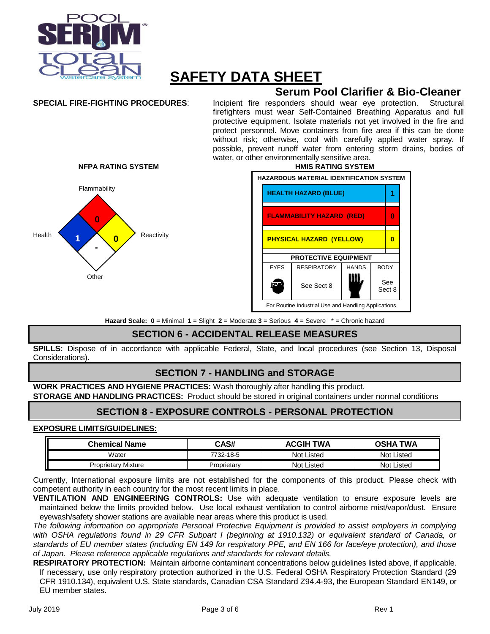

# **Serum Pool Clarifier & Bio-Cleaner**

**SPECIAL FIRE-FIGHTING PROCEDURES**: Incipient fire responders should wear eye protection. Structural firefighters must wear Self-Contained Breathing Apparatus and full protective equipment. Isolate materials not yet involved in the fire and protect personnel. Move containers from fire area if this can be done without risk; otherwise, cool with carefully applied water spray. If possible, prevent runoff water from entering storm drains, bodies of water, or other environmentally sensitive area.





**Hazard Scale: 0** = Minimal **1** = Slight **2** = Moderate **3** = Serious **4** = Severe \* = Chronic hazard

### **SECTION 6 - ACCIDENTAL RELEASE MEASURES**

**SPILLS:** Dispose of in accordance with applicable Federal, State, and local procedures (see Section 13, Disposal Considerations).

### **SECTION 7 - HANDLING and STORAGE**

**WORK PRACTICES AND HYGIENE PRACTICES:** Wash thoroughly after handling this product. **STORAGE AND HANDLING PRACTICES:** Product should be stored in original containers under normal conditions

### **SECTION 8 - EXPOSURE CONTROLS - PERSONAL PROTECTION**

#### **EXPOSURE LIMITS/GUIDELINES:**

| <b>Chemical Name</b>       | CAS#        | <b>TWA</b><br><b>ACGIH</b> | <b>TWA</b><br>OSHA |
|----------------------------|-------------|----------------------------|--------------------|
| Water                      | 7732-18-5   | Not Listed                 | Not Listed         |
| <b>Proprietary Mixture</b> | Proprietarv | <b>Not Listed</b>          | Not Listed         |

Currently, International exposure limits are not established for the components of this product. Please check with competent authority in each country for the most recent limits in place.

**VENTILATION AND ENGINEERING CONTROLS:** Use with adequate ventilation to ensure exposure levels are maintained below the limits provided below. Use local exhaust ventilation to control airborne mist/vapor/dust. Ensure eyewash/safety shower stations are available near areas where this product is used.

*The following information on appropriate Personal Protective Equipment is provided to assist employers in complying*  with OSHA regulations found in 29 CFR Subpart I (beginning at 1910.132) or equivalent standard of Canada, or *standards of EU member states (including EN 149 for respiratory PPE, and EN 166 for face/eye protection), and those of Japan. Please reference applicable regulations and standards for relevant details.*

**RESPIRATORY PROTECTION:** Maintain airborne contaminant concentrations below guidelines listed above, if applicable. If necessary, use only respiratory protection authorized in the U.S. Federal OSHA Respiratory Protection Standard (29 CFR 1910.134), equivalent U.S. State standards, Canadian CSA Standard Z94.4-93, the European Standard EN149, or EU member states.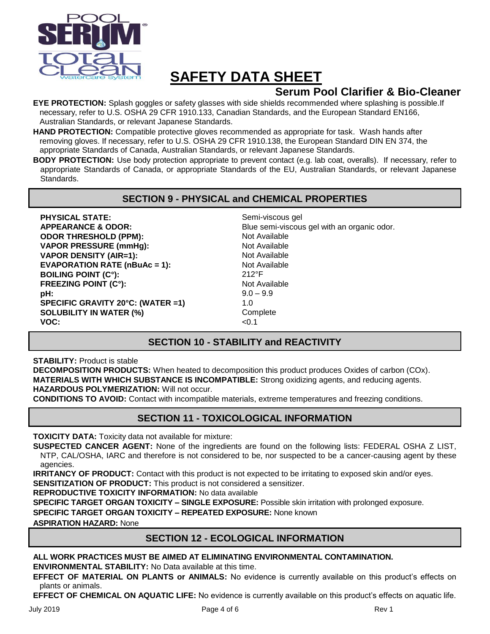

## **Serum Pool Clarifier & Bio-Cleaner**

**EYE PROTECTION:** Splash goggles or safety glasses with side shields recommended where splashing is possible.If necessary, refer to U.S. OSHA 29 CFR 1910.133, Canadian Standards, and the European Standard EN166, Australian Standards, or relevant Japanese Standards.

**HAND PROTECTION:** Compatible protective gloves recommended as appropriate for task. Wash hands after removing gloves. If necessary, refer to U.S. OSHA 29 CFR 1910.138, the European Standard DIN EN 374, the appropriate Standards of Canada, Australian Standards, or relevant Japanese Standards.

**BODY PROTECTION:** Use body protection appropriate to prevent contact (e.g. lab coat, overalls). If necessary, refer to appropriate Standards of Canada, or appropriate Standards of the EU, Australian Standards, or relevant Japanese **Standards** 

#### **SECTION 9 - PHYSICAL and CHEMICAL PROPERTIES**

**PHYSICAL STATE:** Semi-viscous gel **APPEARANCE & ODOR:** Blue semi-viscous gel with an organic odor. **ODOR THRESHOLD (PPM):** Not Available **VAPOR PRESSURE (mmHg):** Not Available **VAPOR DENSITY (AIR=1):** Not Available **EVAPORATION RATE (nBuAc = 1):** Not Available **BOILING POINT (C°):** 212°F **FREEZING POINT (C°):** Not Available **pH:** 9.0 – 9.9 **SPECIFIC GRAVITY 20°C: (WATER =1)** 1.0 **SOLUBILITY IN WATER (%)** Complete **VOC:** <0.1

### **SECTION 10 - STABILITY and REACTIVITY**

**STABILITY:** Product is stable

**DECOMPOSITION PRODUCTS:** When heated to decomposition this product produces Oxides of carbon (COx). **MATERIALS WITH WHICH SUBSTANCE IS INCOMPATIBLE:** Strong oxidizing agents, and reducing agents. **HAZARDOUS POLYMERIZATION:** Will not occur.

**CONDITIONS TO AVOID:** Contact with incompatible materials, extreme temperatures and freezing conditions.

### **SECTION 11 - TOXICOLOGICAL INFORMATION**

**TOXICITY DATA:** Toxicity data not available for mixture:

**SUSPECTED CANCER AGENT:** None of the ingredients are found on the following lists: FEDERAL OSHA Z LIST, NTP, CAL/OSHA, IARC and therefore is not considered to be, nor suspected to be a cancer-causing agent by these agencies.

**IRRITANCY OF PRODUCT:** Contact with this product is not expected to be irritating to exposed skin and/or eyes. **SENSITIZATION OF PRODUCT:** This product is not considered a sensitizer.

**REPRODUCTIVE TOXICITY INFORMATION:** No data available

**SPECIFIC TARGET ORGAN TOXICITY – SINGLE EXPOSURE:** Possible skin irritation with prolonged exposure.

**SPECIFIC TARGET ORGAN TOXICITY – REPEATED EXPOSURE:** None known

**ASPIRATION HAZARD:** None

### **SECTION 12 - ECOLOGICAL INFORMATION**

#### **ALL WORK PRACTICES MUST BE AIMED AT ELIMINATING ENVIRONMENTAL CONTAMINATION. ENVIRONMENTAL STABILITY:** No Data available at this time.

**EFFECT OF MATERIAL ON PLANTS or ANIMALS:** No evidence is currently available on this product's effects on plants or animals.

**EFFECT OF CHEMICAL ON AQUATIC LIFE:** No evidence is currently available on this product's effects on aquatic life.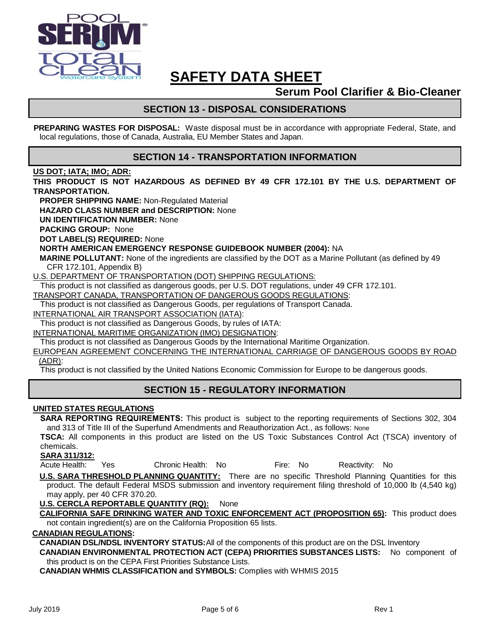

## **Serum Pool Clarifier & Bio-Cleaner**

### **SECTION 13 - DISPOSAL CONSIDERATIONS**

**PREPARING WASTES FOR DISPOSAL:** Waste disposal must be in accordance with appropriate Federal, State, and local regulations, those of Canada, Australia, EU Member States and Japan.

#### **SECTION 14 - TRANSPORTATION INFORMATION**

#### **US DOT; IATA; IMO; ADR:**

**THIS PRODUCT IS NOT HAZARDOUS AS DEFINED BY 49 CFR 172.101 BY THE U.S. DEPARTMENT OF TRANSPORTATION.**

**PROPER SHIPPING NAME:** Non-Regulated Material

**HAZARD CLASS NUMBER and DESCRIPTION:** None

**UN IDENTIFICATION NUMBER:** None

**PACKING GROUP:** None

**DOT LABEL(S) REQUIRED:** None

#### **NORTH AMERICAN EMERGENCY RESPONSE GUIDEBOOK NUMBER (2004):** NA

**MARINE POLLUTANT:** None of the ingredients are classified by the DOT as a Marine Pollutant (as defined by 49 CFR 172.101, Appendix B)

U.S. DEPARTMENT OF TRANSPORTATION (DOT) SHIPPING REGULATIONS:

This product is not classified as dangerous goods, per U.S. DOT regulations, under 49 CFR 172.101.

TRANSPORT CANADA, TRANSPORTATION OF DANGEROUS GOODS REGULATIONS:

This product is not classified as Dangerous Goods, per regulations of Transport Canada.

INTERNATIONAL AIR TRANSPORT ASSOCIATION (IATA):

This product is not classified as Dangerous Goods, by rules of IATA:

INTERNATIONAL MARITIME ORGANIZATION (IMO) DESIGNATION:

This product is not classified as Dangerous Goods by the International Maritime Organization.

EUROPEAN AGREEMENT CONCERNING THE INTERNATIONAL CARRIAGE OF DANGEROUS GOODS BY ROAD (ADR):

This product is not classified by the United Nations Economic Commission for Europe to be dangerous goods.

#### **SECTION 15 - REGULATORY INFORMATION**

#### **UNITED STATES REGULATIONS**

**SARA REPORTING REQUIREMENTS:** This product is subject to the reporting requirements of Sections 302, 304 and 313 of Title III of the Superfund Amendments and Reauthorization Act., as follows: None

**TSCA:** All components in this product are listed on the US Toxic Substances Control Act (TSCA) inventory of chemicals.

#### **SARA 311/312:**

Acute Health: Yes Chronic Health: No Fire: No Reactivity: No

**U.S. SARA THRESHOLD PLANNING QUANTITY:** There are no specific Threshold Planning Quantities for this product. The default Federal MSDS submission and inventory requirement filing threshold of 10,000 lb (4,540 kg) may apply, per 40 CFR 370.20.

**U.S. CERCLA REPORTABLE QUANTITY (RQ):** None

**CALIFORNIA SAFE DRINKING WATER AND TOXIC ENFORCEMENT ACT (PROPOSITION 65):** This product does not contain ingredient(s) are on the California Proposition 65 lists.

#### **CANADIAN REGULATIONS:**

**CANADIAN DSL/NDSL INVENTORY STATUS:**All of the components of this product are on the DSL Inventory

**CANADIAN ENVIRONMENTAL PROTECTION ACT (CEPA) PRIORITIES SUBSTANCES LISTS:** No component of this product is on the CEPA First Priorities Substance Lists.

**CANADIAN WHMIS CLASSIFICATION and SYMBOLS:** Complies with WHMIS 2015